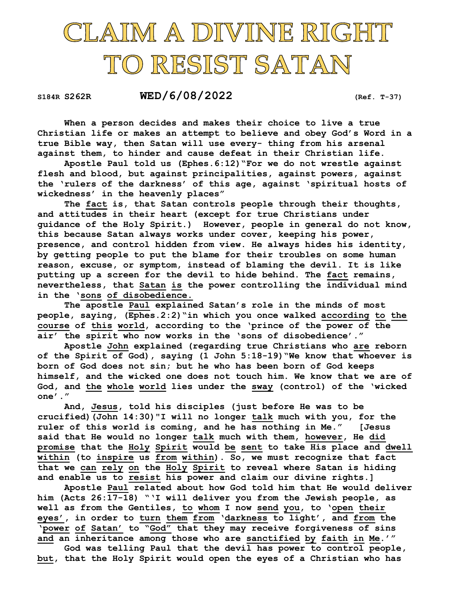## CLAIM A DIVINE RIGHT TO RESIST SATAN

S184R S262R WED/6/08/2022 (Ref. T-37)

 When a person decides and makes their choice to live a true Christian life or makes an attempt to believe and obey God's Word in a true Bible way, then Satan will use every- thing from his arsenal against them, to hinder and cause defeat in their Christian life.

 Apostle Paul told us (Ephes.6:12)"For we do not wrestle against flesh and blood, but against principalities, against powers, against the 'rulers of the darkness' of this age, against 'spiritual hosts of wickedness' in the heavenly places"

 The fact is, that Satan controls people through their thoughts, and attitudes in their heart (except for true Christians under guidance of the Holy Spirit.) However, people in general do not know, this because Satan always works under cover, keeping his power, presence, and control hidden from view. He always hides his identity, by getting people to put the blame for their troubles on some human reason, excuse, or symptom, instead of blaming the devil. It is like putting up a screen for the devil to hide behind. The fact remains, nevertheless, that Satan is the power controlling the individual mind in the 'sons of disobedience.

 The apostle Paul explained Satan's role in the minds of most people, saying, (Ephes.2:2)"in which you once walked according to the course of this world, according to the 'prince of the power of the air' the spirit who now works in the 'sons of disobedience'."

 Apostle John explained (regarding true Christians who are reborn of the Spirit of God), saying (1 John 5:18-19)"We know that whoever is born of God does not sin; but he who has been born of God keeps himself, and the wicked one does not touch him. We know that we are of God, and the whole world lies under the sway (control) of the 'wicked one'."

 And, Jesus, told his disciples (just before He was to be crucified)(John 14:30)"I will no longer talk much with you, for the ruler of this world is coming, and he has nothing in Me." [Jesus said that He would no longer talk much with them, however, He did promise that the Holy Spirit would be sent to take His place and dwell within (to inspire us from within). So, we must recognize that fact that we can rely on the Holy Spirit to reveal where Satan is hiding and enable us to resist his power and claim our divine rights.]

 Apostle Paul related about how God told him that He would deliver him (Acts 26:17-18) "'I will deliver you from the Jewish people, as well as from the Gentiles, to whom I now send you, to 'open their eyes', in order to turn them from 'darkness to light', and from the 'power of Satan' to "God" that they may receive forgiveness of sins and an inheritance among those who are sanctified by faith in Me.'"

 God was telling Paul that the devil has power to control people, but, that the Holy Spirit would open the eyes of a Christian who has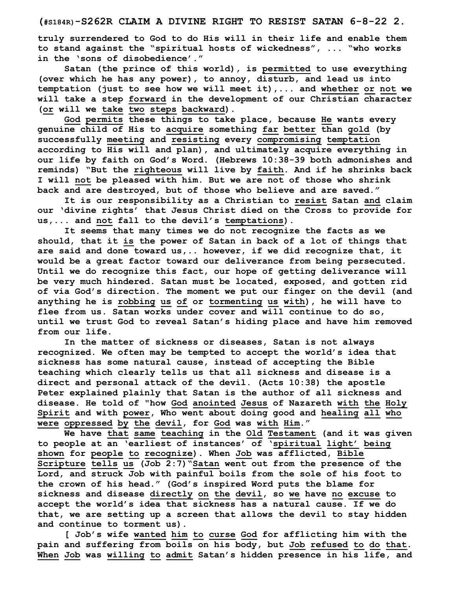truly surrendered to God to do His will in their life and enable them to stand against the "spiritual hosts of wickedness", ... "who works in the 'sons of disobedience'."

 Satan (the prince of this world), is permitted to use everything (over which he has any power), to annoy, disturb, and lead us into temptation (just to see how we will meet it),... and whether or not we will take a step forward in the development of our Christian character (or will we take two steps backward).

God permits these things to take place, because He wants every genuine child of His to acquire something far better than gold (by successfully meeting and resisting every compromising temptation according to His will and plan), and ultimately acquire everything in our life by faith on God's Word. (Hebrews 10:38-39 both admonishes and reminds) "But the righteous will live by faith. And if he shrinks back I will not be pleased with him. But we are not of those who shrink back and are destroyed, but of those who believe and are saved."

 It is our responsibility as a Christian to resist Satan and claim our 'divine rights' that Jesus Christ died on the Cross to provide for us,... and not fall to the devil's temptations).

 It seems that many times we do not recognize the facts as we should, that it is the power of Satan in back of a lot of things that are said and done toward us,.. however, if we did recognize that, it would be a great factor toward our deliverance from being persecuted. Until we do recognize this fact, our hope of getting deliverance will be very much hindered. Satan must be located, exposed, and gotten rid of via God's direction. The moment we put our finger on the devil (and anything he is robbing us of or tormenting us with), he will have to flee from us. Satan works under cover and will continue to do so, until we trust God to reveal Satan's hiding place and have him removed from our life.

 In the matter of sickness or diseases, Satan is not always recognized. We often may be tempted to accept the world's idea that sickness has some natural cause, instead of accepting the Bible teaching which clearly tells us that all sickness and disease is a direct and personal attack of the devil. (Acts 10:38) the apostle Peter explained plainly that Satan is the author of all sickness and disease. He told of "how God anointed Jesus of Nazareth with the Holy Spirit and with power, Who went about doing good and healing all who were oppressed by the devil, for God was with Him."

 We have that same teaching in the Old Testament (and it was given to people at an 'earliest of instances' of 'spiritual light' being shown for people to recognize). When Job was afflicted, Bible Scripture tells us (Job 2:7)"Satan went out from the presence of the Lord, and struck Job with painful boils from the sole of his foot to the crown of his head." (God's inspired Word puts the blame for sickness and disease directly on the devil, so we have no excuse to accept the world's idea that sickness has a natural cause. If we do that, we are setting up a screen that allows the devil to stay hidden and continue to torment us).

[ Job's wife wanted him to curse God for afflicting him with the pain and suffering from boils on his body, but Job refused to do that. When Job was willing to admit Satan's hidden presence in his life, and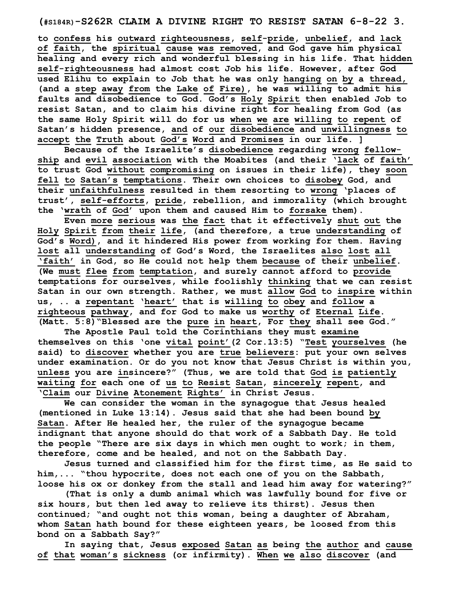(#S184R)-S262R CLAIM A DIVINE RIGHT TO RESIST SATAN 6-8-22 3.

to confess his outward righteousness, self-pride, unbelief, and lack of faith, the spiritual cause was removed, and God gave him physical healing and every rich and wonderful blessing in his life. That hidden self-righteousness had almost cost Job his life. However, after God used Elihu to explain to Job that he was only hanging on by a thread, (and a step away from the Lake of Fire), he was willing to admit his faults and disobedience to God. God's Holy Spirit then enabled Job to resist Satan, and to claim his divine right for healing from God (as the same Holy Spirit will do for us when we are willing to repent of Satan's hidden presence, and of our disobedience and unwillingness to accept the Truth about God's Word and Promises in our life. ]

 Because of the Israelite's disobedience regarding wrong fellowship and evil association with the Moabites (and their 'lack of faith' to trust God without compromising on issues in their life), they soon fell to Satan's temptations. Their own choices to disobey God, and their unfaithfulness resulted in them resorting to wrong 'places of trust', self-efforts, pride, rebellion, and immorality (which brought the 'wrath of God' upon them and caused Him to forsake them).

 Even more serious was the fact that it effectively shut out the Holy Spirit from their life, (and therefore, a true understanding of God's Word), and it hindered His power from working for them. Having lost all understanding of God's Word, the Israelites also lost all 'faith' in God, so He could not help them because of their unbelief. (We must flee from temptation, and surely cannot afford to provide temptations for ourselves, while foolishly thinking that we can resist Satan in our own strength. Rather, we must allow God to inspire within us, .. a repentant 'heart' that is willing to obey and follow a righteous pathway, and for God to make us worthy of Eternal Life. (Matt. 5:8)"Blessed are the pure in heart, For they shall see God."

 The Apostle Paul told the Corinthians they must examine themselves on this 'one vital point'(2 Cor.13:5) "Test yourselves (he said) to discover whether you are true believers: put your own selves under examination. Or do you not know that Jesus Christ is within you, unless you are insincere?" (Thus, we are told that God is patiently waiting for each one of us to Resist Satan, sincerely repent, and 'Claim our Divine Atonement Rights' in Christ Jesus.

 We can consider the woman in the synagogue that Jesus healed (mentioned in Luke 13:14). Jesus said that she had been bound by Satan. After He healed her, the ruler of the synagogue became indignant that anyone should do that work of a Sabbath Day. He told the people "There are six days in which men ought to work; in them, therefore, come and be healed, and not on the Sabbath Day.

 Jesus turned and classified him for the first time, as He said to him,... "thou hypocrite, does not each one of you on the Sabbath, loose his ox or donkey from the stall and lead him away for watering?"

 (That is only a dumb animal which was lawfully bound for five or six hours, but then led away to relieve its thirst). Jesus then continued; "and ought not this woman, being a daughter of Abraham, whom Satan hath bound for these eighteen years, be loosed from this bond on a Sabbath Say?"

 In saying that, Jesus exposed Satan as being the author and cause of that woman's sickness (or infirmity). When we also discover (and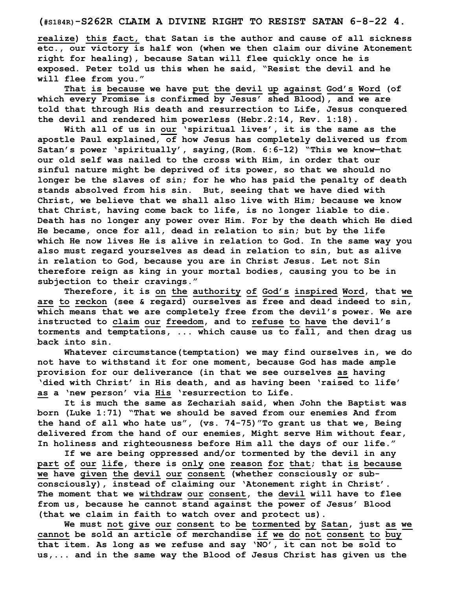realize) this fact, that Satan is the author and cause of all sickness etc., our victory is half won (when we then claim our divine Atonement right for healing), because Satan will flee quickly once he is exposed. Peter told us this when he said, "Resist the devil and he will flee from you."

 That is because we have put the devil up against God's Word (of which every Promise is confirmed by Jesus' shed Blood), and we are told that through His death and resurrection to Life, Jesus conquered the devil and rendered him powerless (Hebr.2:14, Rev. 1:18).

With all of us in our 'spiritual lives', it is the same as the apostle Paul explained, of how Jesus has completely delivered us from Satan's power 'spiritually', saying,(Rom. 6:6-12) "This we know—that our old self was nailed to the cross with Him, in order that our sinful nature might be deprived of its power, so that we should no longer be the slaves of sin; for he who has paid the penalty of death stands absolved from his sin. But, seeing that we have died with Christ, we believe that we shall also live with Him; because we know that Christ, having come back to life, is no longer liable to die. Death has no longer any power over Him. For by the death which He died He became, once for all, dead in relation to sin; but by the life which He now lives He is alive in relation to God. In the same way you also must regard yourselves as dead in relation to sin, but as alive in relation to God, because you are in Christ Jesus. Let not Sin therefore reign as king in your mortal bodies, causing you to be in subjection to their cravings."

Therefore, it is on the authority of God's inspired Word, that we are to reckon (see & regard) ourselves as free and dead indeed to sin, which means that we are completely free from the devil's power. We are instructed to claim our freedom, and to refuse to have the devil's torments and temptations, ... which cause us to fall, and then drag us back into sin.

Whatever circumstance(temptation) we may find ourselves in, we do not have to withstand it for one moment, because God has made ample provision for our deliverance (in that we see ourselves as having 'died with Christ' in His death, and as having been 'raised to life' as a 'new person' via His 'resurrection to Life.

It is much the same as Zechariah said, when John the Baptist was born (Luke 1:71) "That we should be saved from our enemies And from the hand of all who hate us", (vs. 74-75)"To grant us that we, Being delivered from the hand of our enemies, Might serve Him without fear, In holiness and righteousness before Him all the days of our life."

If we are being oppressed and/or tormented by the devil in any part of our life, there is only one reason for that; that is because we have given the devil our consent (whether consciously or subconsciously), instead of claiming our 'Atonement right in Christ'. The moment that we withdraw our consent, the devil will have to flee from us, because he cannot stand against the power of Jesus' Blood (that we claim in faith to watch over and protect us).

We must not give our consent to be tormented by Satan, just as we cannot be sold an article of merchandise if we do not consent to buy that item. As long as we refuse and say 'NO', it can not be sold to us,... and in the same way the Blood of Jesus Christ has given us the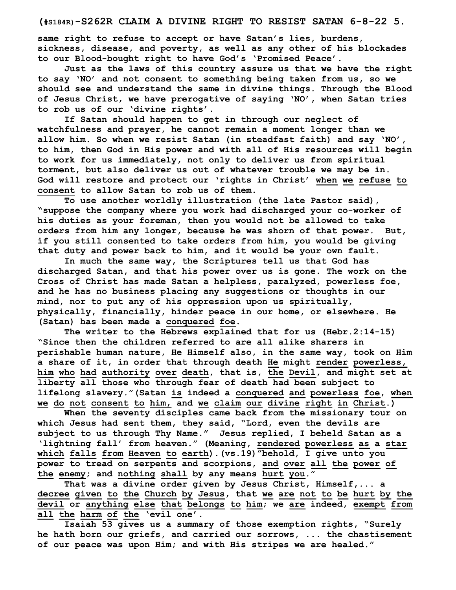## (#S184R)-S262R CLAIM A DIVINE RIGHT TO RESIST SATAN 6-8-22 5.

same right to refuse to accept or have Satan's lies, burdens, sickness, disease, and poverty, as well as any other of his blockades to our Blood-bought right to have God's 'Promised Peace'.

Just as the laws of this country assure us that we have the right to say 'NO' and not consent to something being taken from us, so we should see and understand the same in divine things. Through the Blood of Jesus Christ, we have prerogative of saying 'NO', when Satan tries to rob us of our 'divine rights'.

If Satan should happen to get in through our neglect of watchfulness and prayer, he cannot remain a moment longer than we allow him. So when we resist Satan (in steadfast faith) and say 'NO', to him, then God in His power and with all of His resources will begin to work for us immediately, not only to deliver us from spiritual torment, but also deliver us out of whatever trouble we may be in. God will restore and protect our 'rights in Christ' when we refuse to consent to allow Satan to rob us of them.

To use another worldly illustration (the late Pastor said), "suppose the company where you work had discharged your co-worker of his duties as your foreman, then you would not be allowed to take orders from him any longer, because he was shorn of that power. But, if you still consented to take orders from him, you would be giving that duty and power back to him, and it would be your own fault.

In much the same way, the Scriptures tell us that God has discharged Satan, and that his power over us is gone. The work on the Cross of Christ has made Satan a helpless, paralyzed, powerless foe, and he has no business placing any suggestions or thoughts in our mind, nor to put any of his oppression upon us spiritually, physically, financially, hinder peace in our home, or elsewhere. He (Satan) has been made a conquered foe.

The writer to the Hebrews explained that for us (Hebr.2:14-15) "Since then the children referred to are all alike sharers in perishable human nature, He Himself also, in the same way, took on Him a share of it, in order that through death He might render powerless, him who had authority over death, that is, the Devil, and might set at liberty all those who through fear of death had been subject to lifelong slavery."(Satan is indeed a conquered and powerless foe, when we do not consent to him, and we claim our divine right in Christ.)

When the seventy disciples came back from the missionary tour on which Jesus had sent them, they said, "Lord, even the devils are subject to us through Thy Name." Jesus replied, I beheld Satan as a 'lightning fall' from heaven." (Meaning, rendered powerless as a star which falls from Heaven to earth).(vs.19)"behold, I give unto you power to tread on serpents and scorpions, and over all the power of the enemy; and nothing shall by any means hurt you."

That was a divine order given by Jesus Christ, Himself,... a decree given to the Church by Jesus, that we are not to be hurt by the devil or anything else that belongs to him; we are indeed, exempt from all the harm of the 'evil one'.

Isaiah 53 gives us a summary of those exemption rights, "Surely he hath born our griefs, and carried our sorrows, ... the chastisement of our peace was upon Him; and with His stripes we are healed."